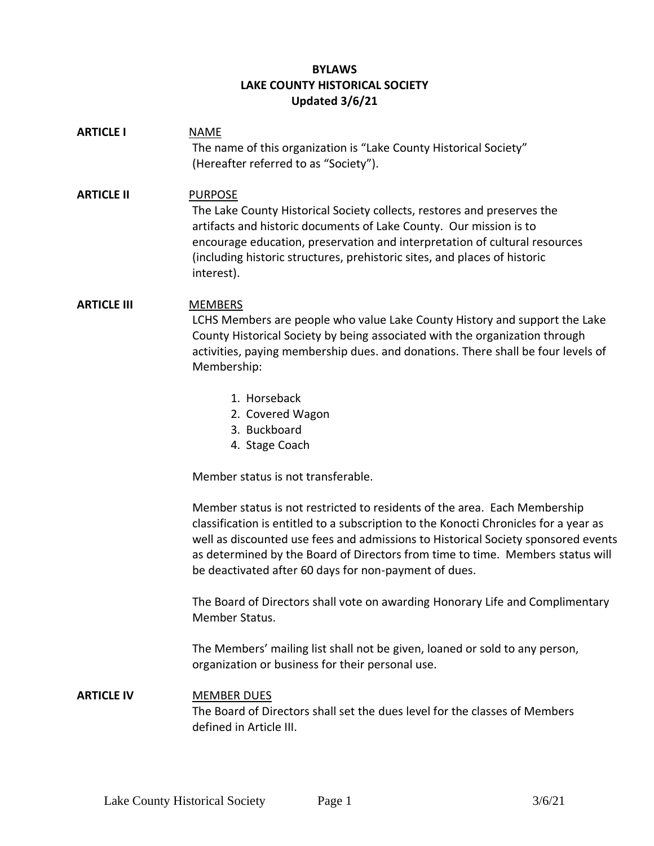## **BYLAWS LAKE COUNTY HISTORICAL SOCIETY Updated 3/6/21**

| <b>ARTICLE I</b>   | <b>NAME</b><br>The name of this organization is "Lake County Historical Society"<br>(Hereafter referred to as "Society").                                                                                                                                                                                                                                                                         |
|--------------------|---------------------------------------------------------------------------------------------------------------------------------------------------------------------------------------------------------------------------------------------------------------------------------------------------------------------------------------------------------------------------------------------------|
| <b>ARTICLE II</b>  | <b>PURPOSE</b><br>The Lake County Historical Society collects, restores and preserves the<br>artifacts and historic documents of Lake County. Our mission is to<br>encourage education, preservation and interpretation of cultural resources<br>(including historic structures, prehistoric sites, and places of historic<br>interest).                                                          |
| <b>ARTICLE III</b> | <b>MEMBERS</b><br>LCHS Members are people who value Lake County History and support the Lake<br>County Historical Society by being associated with the organization through<br>activities, paying membership dues. and donations. There shall be four levels of<br>Membership:                                                                                                                    |
|                    | 1. Horseback<br>2. Covered Wagon<br>3. Buckboard<br>4. Stage Coach                                                                                                                                                                                                                                                                                                                                |
|                    | Member status is not transferable.                                                                                                                                                                                                                                                                                                                                                                |
|                    | Member status is not restricted to residents of the area. Each Membership<br>classification is entitled to a subscription to the Konocti Chronicles for a year as<br>well as discounted use fees and admissions to Historical Society sponsored events<br>as determined by the Board of Directors from time to time. Members status will<br>be deactivated after 60 days for non-payment of dues. |
|                    | The Board of Directors shall vote on awarding Honorary Life and Complimentary<br>Member Status.                                                                                                                                                                                                                                                                                                   |
|                    | The Members' mailing list shall not be given, loaned or sold to any person,<br>organization or business for their personal use.                                                                                                                                                                                                                                                                   |
| <b>ARTICLE IV</b>  | <b>MEMBER DUES</b><br>The Board of Directors shall set the dues level for the classes of Members<br>defined in Article III.                                                                                                                                                                                                                                                                       |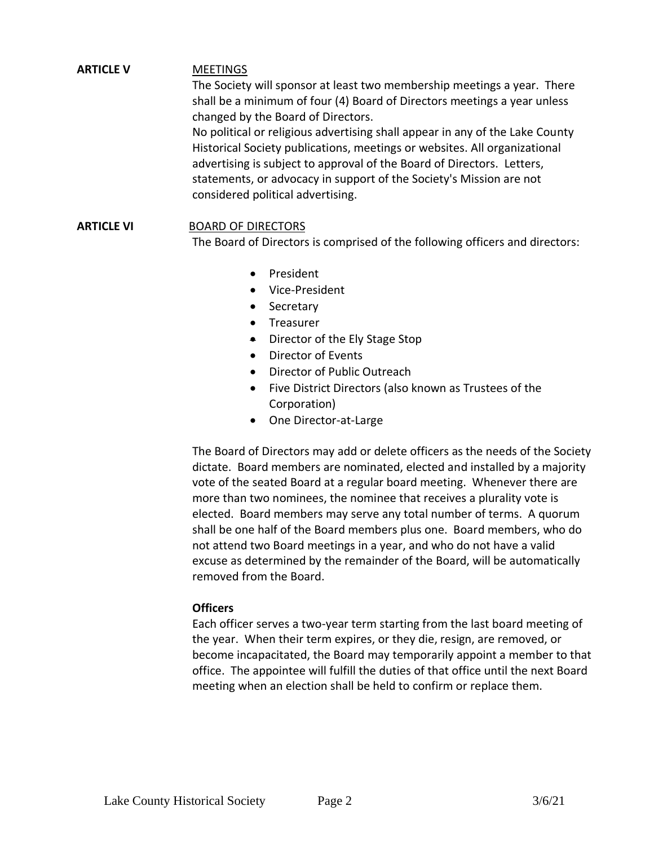## **ARTICLE V** MEETINGS

The Society will sponsor at least two membership meetings a year. There shall be a minimum of four (4) Board of Directors meetings a year unless changed by the Board of Directors.

No political or religious advertising shall appear in any of the Lake County Historical Society publications, meetings or websites. All organizational advertising is subject to approval of the Board of Directors. Letters, statements, or advocacy in support of the Society's Mission are not considered political advertising.

## **ARTICLE VI** BOARD OF DIRECTORS

The Board of Directors is comprised of the following officers and directors:

- President
- Vice-President
- Secretary
- Treasurer
- Director of the Ely Stage Stop
- Director of Events
- Director of Public Outreach
- Five District Directors (also known as Trustees of the Corporation)
- One Director-at-Large

The Board of Directors may add or delete officers as the needs of the Society dictate. Board members are nominated, elected and installed by a majority vote of the seated Board at a regular board meeting. Whenever there are more than two nominees, the nominee that receives a plurality vote is elected. Board members may serve any total number of terms. A quorum shall be one half of the Board members plus one. Board members, who do not attend two Board meetings in a year, and who do not have a valid excuse as determined by the remainder of the Board, will be automatically removed from the Board.

#### **Officers**

Each officer serves a two-year term starting from the last board meeting of the year. When their term expires, or they die, resign, are removed, or become incapacitated, the Board may temporarily appoint a member to that office. The appointee will fulfill the duties of that office until the next Board meeting when an election shall be held to confirm or replace them.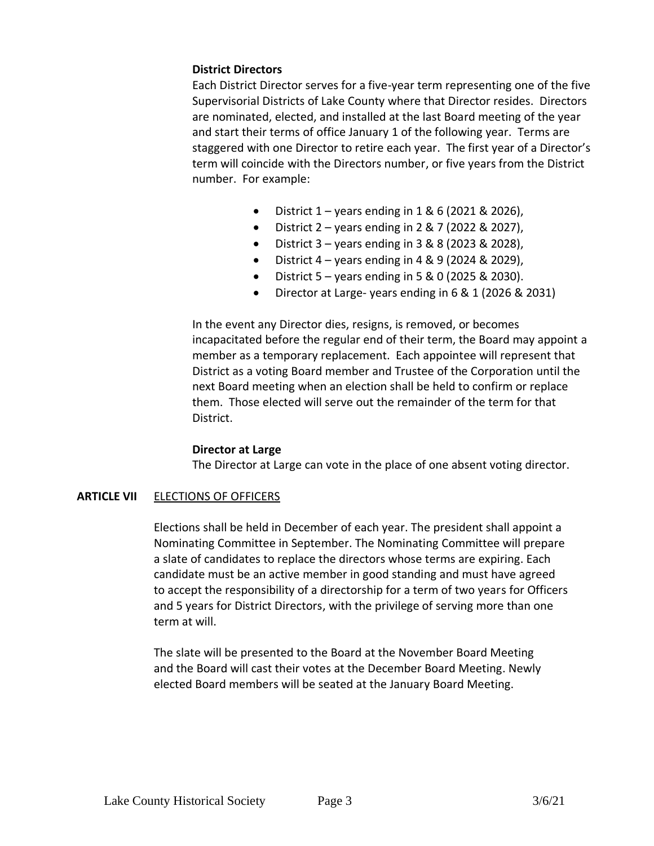#### **District Directors**

Each District Director serves for a five-year term representing one of the five Supervisorial Districts of Lake County where that Director resides. Directors are nominated, elected, and installed at the last Board meeting of the year and start their terms of office January 1 of the following year. Terms are staggered with one Director to retire each year. The first year of a Director's term will coincide with the Directors number, or five years from the District number. For example:

- District  $1 -$  years ending in  $1 & 6$  (2021 & 2026),
- District  $2 -$  years ending in  $2 & 7$  (2022 & 2027),
- District  $3 \text{years}$  ending in  $3 & 8 & 8 & (2023 & 2028)$ ,
- District  $4 \gamma$  ears ending in  $4 \& 9 (2024 \& 2029)$ ,
- District  $5 \text{years}$  ending in  $5 & 0$  (2025 & 2030).
- Director at Large- years ending in 6 & 1 (2026 & 2031)

In the event any Director dies, resigns, is removed, or becomes incapacitated before the regular end of their term, the Board may appoint a member as a temporary replacement. Each appointee will represent that District as a voting Board member and Trustee of the Corporation until the next Board meeting when an election shall be held to confirm or replace them. Those elected will serve out the remainder of the term for that District.

#### **Director at Large**

The Director at Large can vote in the place of one absent voting director.

#### **ARTICLE VII** ELECTIONS OF OFFICERS

Elections shall be held in December of each year. The president shall appoint a Nominating Committee in September. The Nominating Committee will prepare a slate of candidates to replace the directors whose terms are expiring. Each candidate must be an active member in good standing and must have agreed to accept the responsibility of a directorship for a term of two years for Officers and 5 years for District Directors, with the privilege of serving more than one term at will.

The slate will be presented to the Board at the November Board Meeting and the Board will cast their votes at the December Board Meeting. Newly elected Board members will be seated at the January Board Meeting.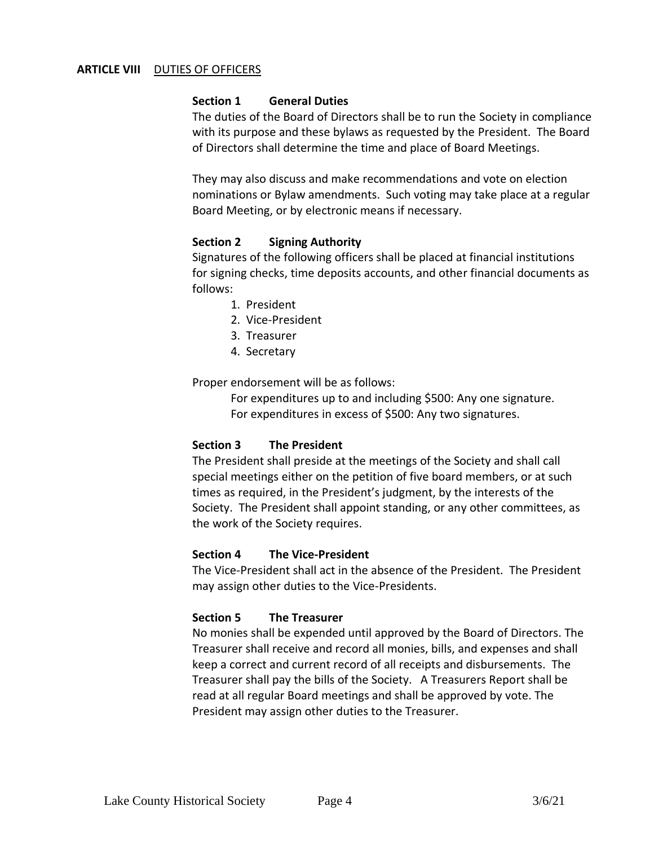#### **ARTICLE VIII** DUTIES OF OFFICERS

#### **Section 1 General Duties**

The duties of the Board of Directors shall be to run the Society in compliance with its purpose and these bylaws as requested by the President. The Board of Directors shall determine the time and place of Board Meetings.

They may also discuss and make recommendations and vote on election nominations or Bylaw amendments. Such voting may take place at a regular Board Meeting, or by electronic means if necessary.

#### **Section 2 Signing Authority**

Signatures of the following officers shall be placed at financial institutions for signing checks, time deposits accounts, and other financial documents as follows:

- 1. President
- 2. Vice-President
- 3. Treasurer
- 4. Secretary

Proper endorsement will be as follows:

For expenditures up to and including \$500: Any one signature. For expenditures in excess of \$500: Any two signatures.

#### **Section 3 The President**

The President shall preside at the meetings of the Society and shall call special meetings either on the petition of five board members, or at such times as required, in the President's judgment, by the interests of the Society. The President shall appoint standing, or any other committees, as the work of the Society requires.

#### **Section 4 The Vice-President**

The Vice-President shall act in the absence of the President. The President may assign other duties to the Vice-Presidents.

#### **Section 5 The Treasurer**

No monies shall be expended until approved by the Board of Directors. The Treasurer shall receive and record all monies, bills, and expenses and shall keep a correct and current record of all receipts and disbursements. The Treasurer shall pay the bills of the Society. A Treasurers Report shall be read at all regular Board meetings and shall be approved by vote. The President may assign other duties to the Treasurer.